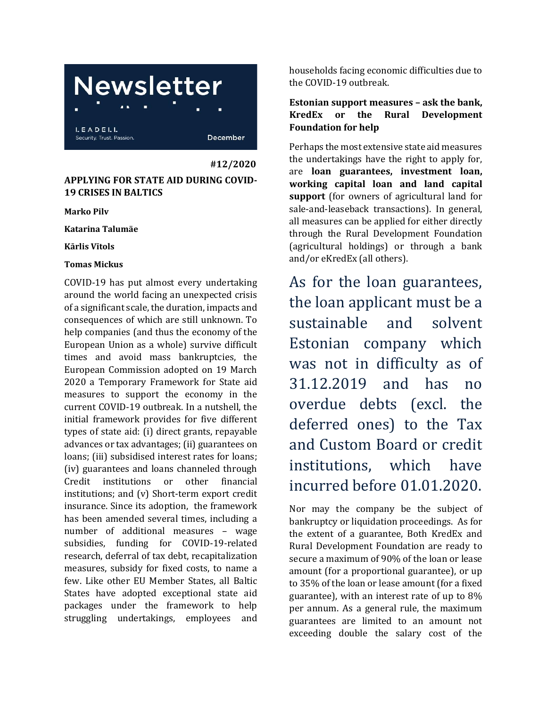# **Newsletter**

LEADELL Security, Trust, Passion,

December

 **#12/2020**

### **APPLYING FOR STATE AID DURING COVID-19 CRISES IN BALTICS**

**Marko Pilv**

**Katarina Talumäe**

**Kārlis Vītols**

#### **Tomas Mickus**

COVID-19 has put almost every undertaking around the world facing an unexpected crisis of a significant scale, the duration, impacts and consequences of which are still unknown. To help companies (and thus the economy of the European Union as a whole) survive difficult times and avoid mass bankruptcies, the European Commission adopted on 19 March 2020 a Temporary Framework for State aid measures to support the economy in the current COVID-19 outbreak. In a nutshell, the initial framework provides for five different types of state aid: (i) direct grants, repayable advances or tax advantages; (ii) guarantees on loans; (iii) subsidised interest rates for loans; (iv) guarantees and loans channeled through Credit institutions or other financial institutions; and (v) Short-term export credit insurance. Since its adoption, the framework has been amended several times, including a number of additional measures – wage subsidies, funding for COVID-19-related research, deferral of tax debt, recapitalization measures, subsidy for fixed costs, to name a few. Like other EU Member States, all Baltic States have adopted exceptional state aid packages under the framework to help struggling undertakings, employees and

households facing economic difficulties due to the COVID-19 outbreak.

#### **Estonian support measures – ask the bank, KredEx or the Rural Development Foundation for help**

Perhaps the most extensive state aid measures the undertakings have the right to apply for, are **loan guarantees, investment loan, working capital loan and land capital support** (for owners of agricultural land for sale-and-leaseback transactions). In general, all measures can be applied for either directly through the Rural Development Foundation (agricultural holdings) or through a bank and/or eKredEx (all others).

As for the loan guarantees, the loan applicant must be a sustainable and solvent Estonian company which was not in difficulty as of 31.12.2019 and has no overdue debts (excl. the deferred ones) to the Tax and Custom Board or credit institutions, which have incurred before 01.01.2020.

Nor may the company be the subject of bankruptcy or liquidation proceedings. As for the extent of a guarantee, Both KredEx and Rural Development Foundation are ready to secure a maximum of 90% of the loan or lease amount (for a proportional guarantee), or up to 35% of the loan or lease amount (for a fixed guarantee), with an interest rate of up to 8% per annum. As a general rule, the maximum guarantees are limited to an amount not exceeding double the salary cost of the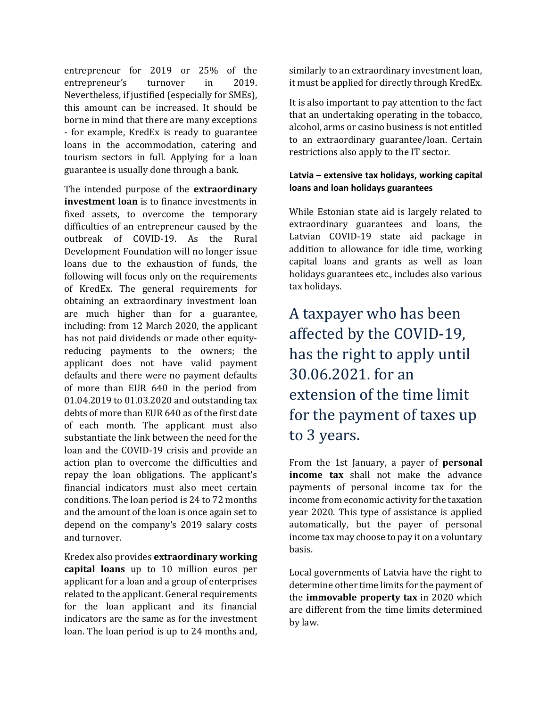entrepreneur for 2019 or 25% of the entrepreneur's turnover in 2019. Nevertheless, if justified (especially for SMEs), this amount can be increased. It should be borne in mind that there are many exceptions - for example, KredEx is ready to guarantee loans in the accommodation, catering and tourism sectors in full. Applying for a loan guarantee is usually done through a bank.

The intended purpose of the **extraordinary investment loan** is to finance investments in fixed assets, to overcome the temporary difficulties of an entrepreneur caused by the outbreak of COVID-19. As the Rural Development Foundation will no longer issue loans due to the exhaustion of funds, the following will focus only on the requirements of KredEx. The general requirements for obtaining an extraordinary investment loan are much higher than for a guarantee, including: from 12 March 2020, the applicant has not paid dividends or made other equityreducing payments to the owners; the applicant does not have valid payment defaults and there were no payment defaults of more than EUR 640 in the period from 01.04.2019 to 01.03.2020 and outstanding tax debts of more than EUR 640 as of the first date of each month. The applicant must also substantiate the link between the need for the loan and the COVID-19 crisis and provide an action plan to overcome the difficulties and repay the loan obligations. The applicant's financial indicators must also meet certain conditions. The loan period is 24 to 72 months and the amount of the loan is once again set to depend on the company's 2019 salary costs and turnover.

Kredex also provides **extraordinary working capital loans** up to 10 million euros per applicant for a loan and a group of enterprises related to the applicant. General requirements for the loan applicant and its financial indicators are the same as for the investment loan. The loan period is up to 24 months and,

similarly to an extraordinary investment loan, it must be applied for directly through KredEx.

It is also important to pay attention to the fact that an undertaking operating in the tobacco, alcohol, arms or casino business is not entitled to an extraordinary guarantee/loan. Certain restrictions also apply to the IT sector.

#### **Latvia – extensive tax holidays, working capital loans and loan holidays guarantees**

While Estonian state aid is largely related to extraordinary guarantees and loans, the Latvian COVID-19 state aid package in addition to allowance for idle time, working capital loans and grants as well as loan holidays guarantees etc., includes also various tax holidays.

## A taxpayer who has been affected by the COVID-19, has the right to apply until 30.06.2021. for an extension of the time limit for the payment of taxes up to 3 years.

From the 1st January, a payer of **personal income tax** shall not make the advance payments of personal income tax for the income from economic activity for the taxation year 2020. This type of assistance is applied automatically, but the payer of personal income tax may choose to pay it on a voluntary basis.

Local governments of Latvia have the right to determine other time limits for the payment of the **immovable property tax** in 2020 which are different from the time limits determined by law.